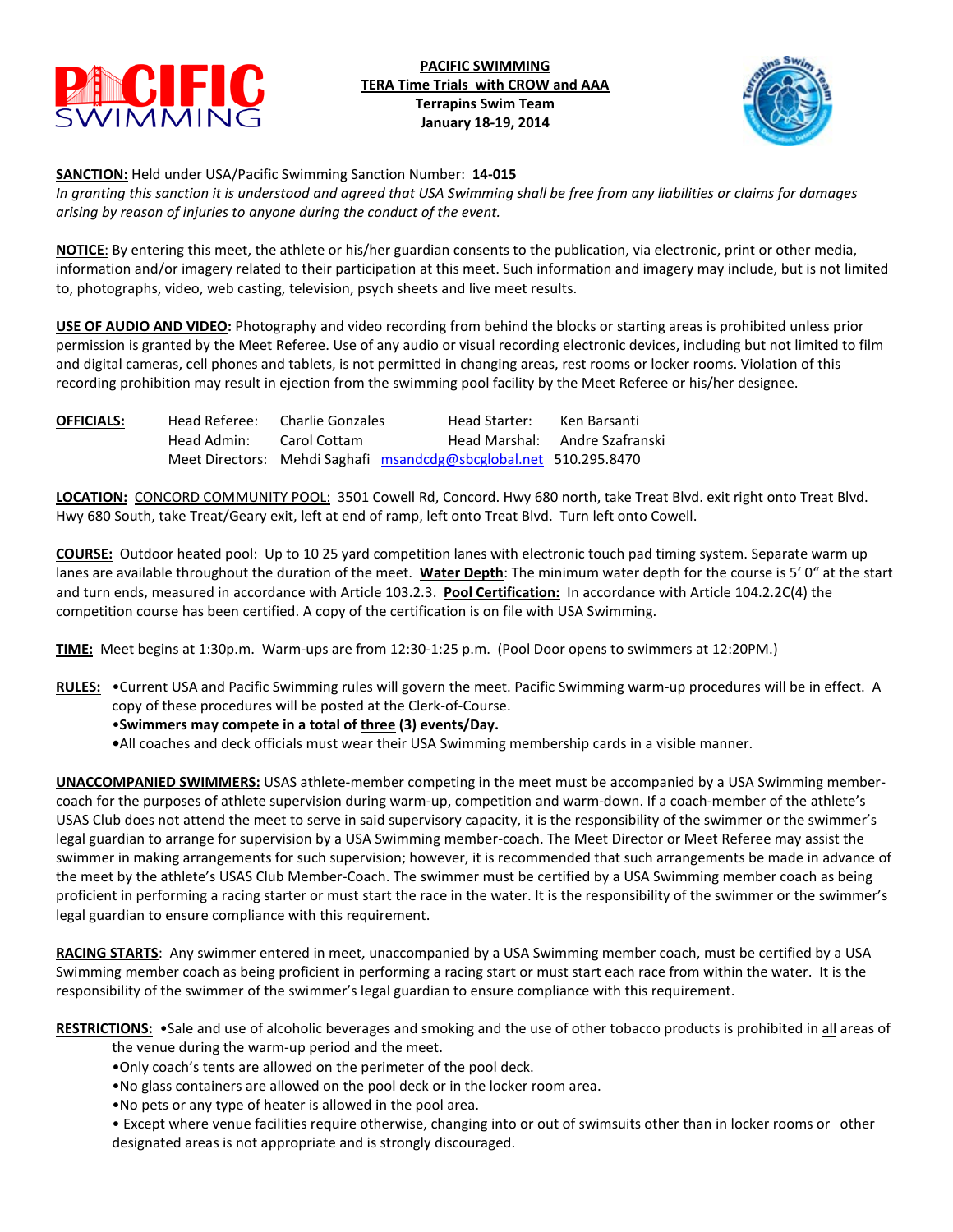

**PACIFIC SWIMMING TERA Time Trials with CROW and AAA Terrapins Swim Team January 18-19, 2014**



**SANCTION:** Held under USA/Pacific Swimming Sanction Number: **14-015**

*In granting this sanction it is understood and agreed that USA Swimming shall be free from any liabilities or claims for damages arising by reason of injuries to anyone during the conduct of the event.*

**NOTICE**: By entering this meet, the athlete or his/her guardian consents to the publication, via electronic, print or other media, information and/or imagery related to their participation at this meet. Such information and imagery may include, but is not limited to, photographs, video, web casting, television, psych sheets and live meet results.

**USE OF AUDIO AND VIDEO:** Photography and video recording from behind the blocks or starting areas is prohibited unless prior permission is granted by the Meet Referee. Use of any audio or visual recording electronic devices, including but not limited to film and digital cameras, cell phones and tablets, is not permitted in changing areas, rest rooms or locker rooms. Violation of this recording prohibition may result in ejection from the swimming pool facility by the Meet Referee or his/her designee.

| <b>OFFICIALS:</b> | Head Referee: | Charlie Gonzales | Head Starter:                                                     | Ken Barsanti                   |
|-------------------|---------------|------------------|-------------------------------------------------------------------|--------------------------------|
|                   | Head Admin:   | Carol Cottam     |                                                                   | Head Marshal: Andre Szafranski |
|                   |               |                  | Meet Directors: Mehdi Saghafi msandcdg@sbcglobal.net 510.295.8470 |                                |

**LOCATION:** CONCORD COMMUNITY POOL: 3501 Cowell Rd, Concord. Hwy 680 north, take Treat Blvd. exit right onto Treat Blvd. Hwy 680 South, take Treat/Geary exit, left at end of ramp, left onto Treat Blvd. Turn left onto Cowell.

**COURSE:** Outdoor heated pool: Up to 10 25 yard competition lanes with electronic touch pad timing system. Separate warm up lanes are available throughout the duration of the meet. **Water Depth**: The minimum water depth for the course is 5' 0" at the start and turn ends, measured in accordance with Article 103.2.3. **Pool Certification:** In accordance with Article 104.2.2C(4) the competition course has been certified. A copy of the certification is on file with USA Swimming.

**TIME:** Meet begins at 1:30p.m. Warm-ups are from 12:30-1:25 p.m. (Pool Door opens to swimmers at 12:20PM.)

**RULES:** •Current USA and Pacific Swimming rules will govern the meet. Pacific Swimming warm-up procedures will be in effect. A copy of these procedures will be posted at the Clerk-of-Course.

# •**Swimmers may compete in a total of three (3) events/Day.**

**•**All coaches and deck officials must wear their USA Swimming membership cards in a visible manner.

**UNACCOMPANIED SWIMMERS:** USAS athlete-member competing in the meet must be accompanied by a USA Swimming membercoach for the purposes of athlete supervision during warm-up, competition and warm-down. If a coach-member of the athlete's USAS Club does not attend the meet to serve in said supervisory capacity, it is the responsibility of the swimmer or the swimmer's legal guardian to arrange for supervision by a USA Swimming member-coach. The Meet Director or Meet Referee may assist the swimmer in making arrangements for such supervision; however, it is recommended that such arrangements be made in advance of the meet by the athlete's USAS Club Member-Coach. The swimmer must be certified by a USA Swimming member coach as being proficient in performing a racing starter or must start the race in the water. It is the responsibility of the swimmer or the swimmer's legal guardian to ensure compliance with this requirement.

**RACING STARTS**: Any swimmer entered in meet, unaccompanied by a USA Swimming member coach, must be certified by a USA Swimming member coach as being proficient in performing a racing start or must start each race from within the water. It is the responsibility of the swimmer of the swimmer's legal guardian to ensure compliance with this requirement.

**RESTRICTIONS:** •Sale and use of alcoholic beverages and smoking and the use of other tobacco products is prohibited in all areas of

the venue during the warm-up period and the meet.

- •Only coach's tents are allowed on the perimeter of the pool deck.
- •No glass containers are allowed on the pool deck or in the locker room area.
- •No pets or any type of heater is allowed in the pool area.

• Except where venue facilities require otherwise, changing into or out of swimsuits other than in locker rooms or other designated areas is not appropriate and is strongly discouraged.